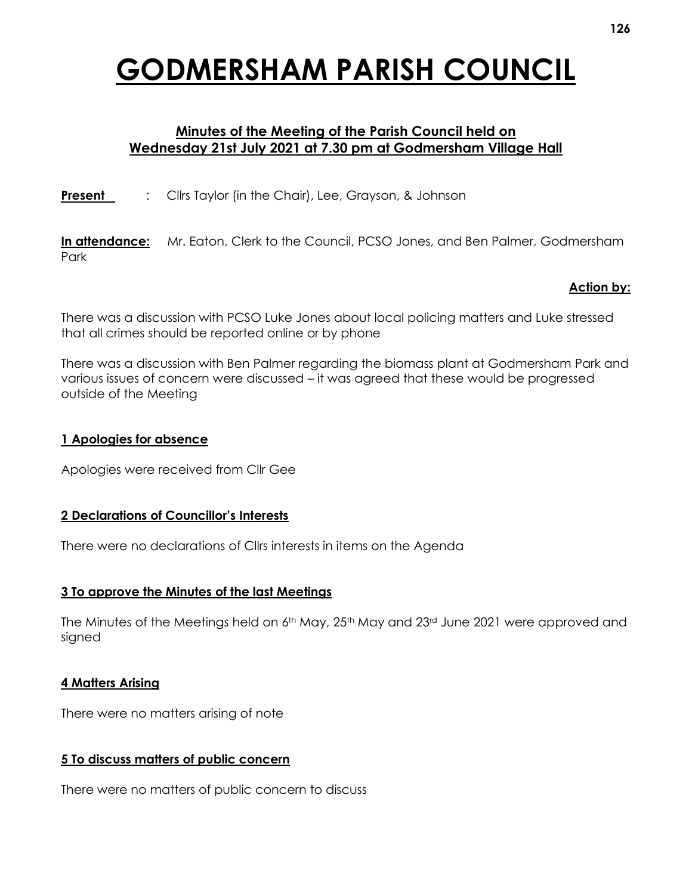# **GODMERSHAM PARISH COUNCIL**

## **Minutes of the Meeting of the Parish Council held on Wednesday 21st July 2021 at 7.30 pm at Godmersham Village Hall**

**Present** : Cllrs Taylor (in the Chair), Lee, Grayson, & Johnson

**In attendance:** Mr. Eaton, Clerk to the Council, PCSO Jones, and Ben Palmer, Godmersham Park

### **Action by:**

There was a discussion with PCSO Luke Jones about local policing matters and Luke stressed that all crimes should be reported online or by phone

There was a discussion with Ben Palmer regarding the biomass plant at Godmersham Park and various issues of concern were discussed – it was agreed that these would be progressed outside of the Meeting

### **1 Apologies for absence**

Apologies were received from Cllr Gee

### **2 Declarations of Councillor's Interests**

There were no declarations of Cllrs interests in items on the Agenda

### **3 To approve the Minutes of the last Meetings**

The Minutes of the Meetings held on  $6<sup>th</sup>$  May, 25<sup>th</sup> May and 23<sup>rd</sup> June 2021 were approved and signed

### **4 Matters Arising**

There were no matters arising of note

### **5 To discuss matters of public concern**

There were no matters of public concern to discuss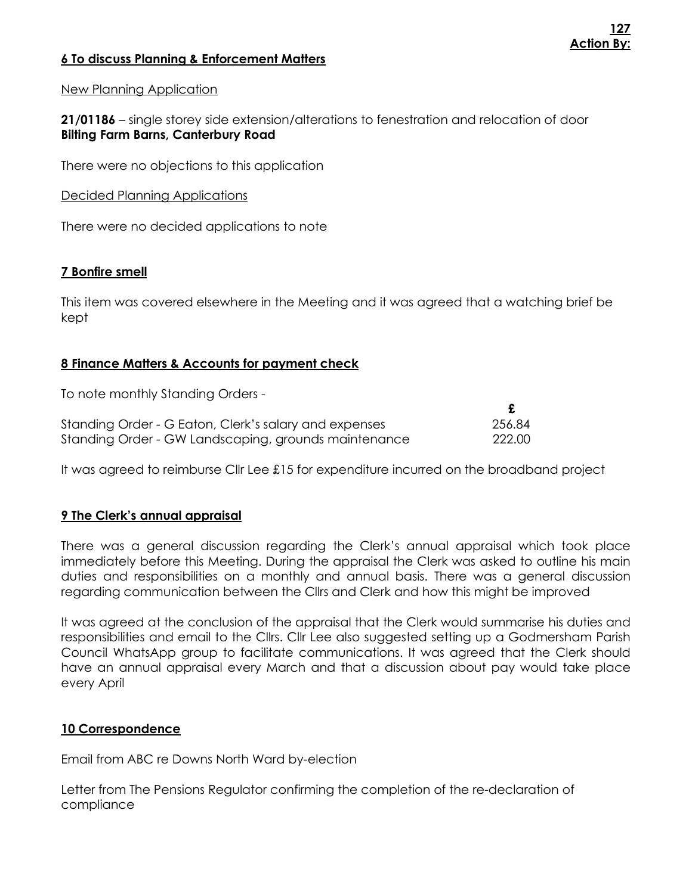## **6 To discuss Planning & Enforcement Matters**

## New Planning Application

**21/01186** – single storey side extension/alterations to fenestration and relocation of door **Bilting Farm Barns, Canterbury Road**

There were no objections to this application

Decided Planning Applications

There were no decided applications to note

## **7 Bonfire smell**

This item was covered elsewhere in the Meeting and it was agreed that a watching brief be kept

## **8 Finance Matters & Accounts for payment check**

To note monthly Standing Orders -

| Standing Order - G Eaton, Clerk's salary and expenses | 256.84 |
|-------------------------------------------------------|--------|
| Standing Order - GW Landscaping, grounds maintenance  | 222.00 |

It was agreed to reimburse Cllr Lee £15 for expenditure incurred on the broadband project

## **9 The Clerk's annual appraisal**

There was a general discussion regarding the Clerk's annual appraisal which took place immediately before this Meeting. During the appraisal the Clerk was asked to outline his main duties and responsibilities on a monthly and annual basis. There was a general discussion regarding communication between the Cllrs and Clerk and how this might be improved

It was agreed at the conclusion of the appraisal that the Clerk would summarise his duties and responsibilities and email to the Cllrs. Cllr Lee also suggested setting up a Godmersham Parish Council WhatsApp group to facilitate communications. It was agreed that the Clerk should have an annual appraisal every March and that a discussion about pay would take place every April

## **10 Correspondence**

Email from ABC re Downs North Ward by-election

Letter from The Pensions Regulator confirming the completion of the re-declaration of compliance